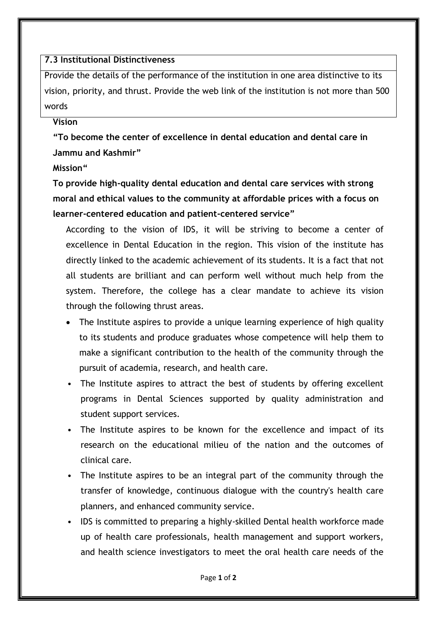## **7.3 Institutional Distinctiveness**

Provide the details of the performance of the institution in one area distinctive to its vision, priority, and thrust. Provide the web link of the institution is not more than 500 words

## **Vision**

**"To become the center of excellence in dental education and dental care in Jammu and Kashmir"** 

## **Mission"**

**To provide high-quality dental education and dental care services with strong moral and ethical values to the community at affordable prices with a focus on learner-centered education and patient-centered service"**

According to the vision of IDS, it will be striving to become a center of excellence in Dental Education in the region. This vision of the institute has directly linked to the academic achievement of its students. It is a fact that not all students are brilliant and can perform well without much help from the system. Therefore, the college has a clear mandate to achieve its vision through the following thrust areas.

- The Institute aspires to provide a unique learning experience of high quality to its students and produce graduates whose competence will help them to make a significant contribution to the health of the community through the pursuit of academia, research, and health care.
- The Institute aspires to attract the best of students by offering excellent programs in Dental Sciences supported by quality administration and student support services.
- The Institute aspires to be known for the excellence and impact of its research on the educational milieu of the nation and the outcomes of clinical care.
- The Institute aspires to be an integral part of the community through the transfer of knowledge, continuous dialogue with the country's health care planners, and enhanced community service.
- IDS is committed to preparing a highly-skilled Dental health workforce made up of health care professionals, health management and support workers, and health science investigators to meet the oral health care needs of the